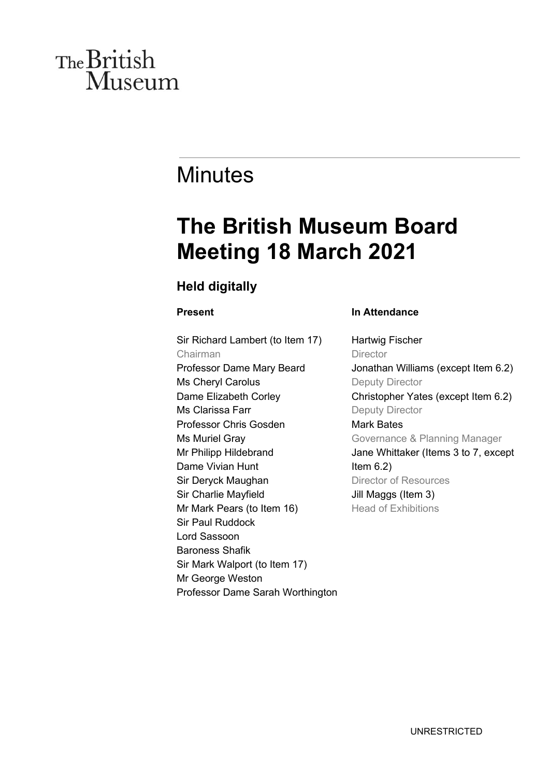# The British **Museum**

# **Minutes**

# **The British Museum Board Meeting 18 March 2021**

# **Held digitally**

## **Present**

Sir Richard Lambert (to Item 17) Chairman Professor Dame Mary Beard Ms Cheryl Carolus Dame Elizabeth Corley Ms Clarissa Farr Professor Chris Gosden Ms Muriel Gray Mr Philipp Hildebrand Dame Vivian Hunt Sir Deryck Maughan Sir Charlie Mayfield Mr Mark Pears (to Item 16) Sir Paul Ruddock Lord Sassoon Baroness Shafik Sir Mark Walport (to Item 17) Mr George Weston Professor Dame Sarah Worthington

### **In Attendance**

Hartwig Fischer **Director** Jonathan Williams (except Item 6.2) Deputy Director Christopher Yates (except Item 6.2) Deputy Director Mark Bates Governance & Planning Manager Jane Whittaker (Items 3 to 7, except Item  $6.2$ ) Director of Resources Jill Maggs (Item 3) Head of Exhibitions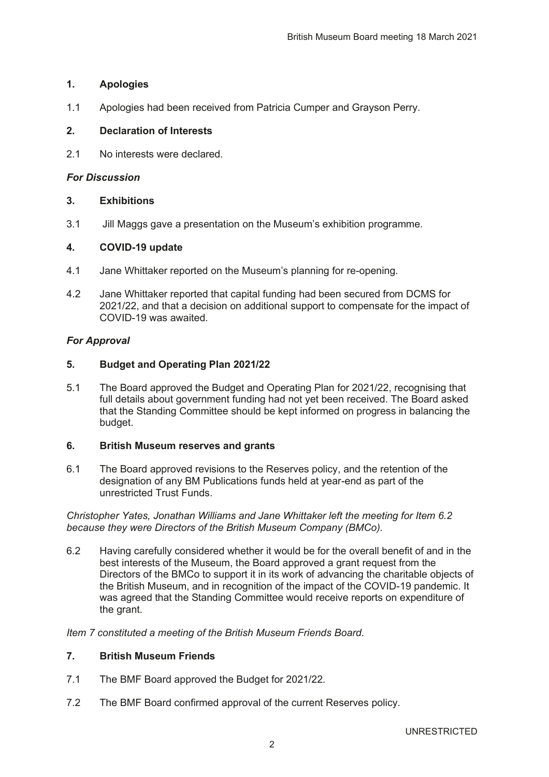#### **1. Apologies**

1.1 Apologies had been received from Patricia Cumper and Grayson Perry.

#### **2. Declaration of Interests**

2.1 No interests were declared.

#### *For Discussion*

#### **3. Exhibitions**

3.1 Jill Maggs gave a presentation on the Museum's exhibition programme.

#### **4. COVID-19 update**

- 4.1 Jane Whittaker reported on the Museum's planning for re-opening.
- 4.2 Jane Whittaker reported that capital funding had been secured from DCMS for 2021/22, and that a decision on additional support to compensate for the impact of COVID-19 was awaited.

#### *For Approval*

#### **5. Budget and Operating Plan 2021/22**

5.1 The Board approved the Budget and Operating Plan for 2021/22, recognising that full details about government funding had not yet been received. The Board asked that the Standing Committee should be kept informed on progress in balancing the budget.

#### **6. British Museum reserves and grants**

6.1 The Board approved revisions to the Reserves policy, and the retention of the designation of any BM Publications funds held at year-end as part of the unrestricted Trust Funds.

Christopher Yates, Jonathan Williams and Jane Whittaker left the meeting for Item 6.2 *because they were Directors of the British Museum Company (BMCo).* 

6.2 Having carefully considered whether it would be for the overall benefit of and in the best interests of the Museum, the Board approved a grant request from the Directors of the BMCo to support it in its work of advancing the charitable objects of the British Museum, and in recognition of the impact of the COVID-19 pandemic. It was agreed that the Standing Committee would receive reports on expenditure of the grant.

*Item 7 constituted a meeting of the British Museum Friends Board.* 

#### **7. British Museum Friends**

- 7.1 The BMF Board approved the Budget for 2021/22.
- 7.2 The BMF Board confirmed approval of the current Reserves policy.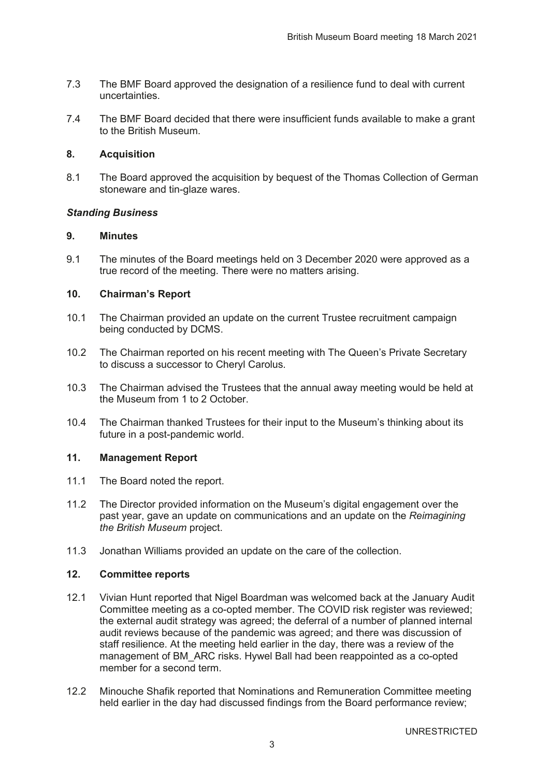- 7.3 The BMF Board approved the designation of a resilience fund to deal with current uncertainties.
- 7.4 The BMF Board decided that there were insufficient funds available to make a grant to the British Museum.

#### **8. Acquisition**

8.1 The Board approved the acquisition by bequest of the Thomas Collection of German stoneware and tin-glaze wares.

#### *Standing Business*

#### **9. Minutes**

9.1 The minutes of the Board meetings held on 3 December 2020 were approved as a true record of the meeting. There were no matters arising.

#### **10.** Chairman's Report

- 10.1 The Chairman provided an update on the current Trustee recruitment campaign being conducted by DCMS.
- 10.2 The Chairman reported on his recent meeting with The Queen's Private Secretary to discuss a successor to Cheryl Carolus.
- 10.3 The Chairman advised the Trustees that the annual away meeting would be held at the Museum from 1 to 2 October.
- 10.4 The Chairman thanked Trustees for their input to the Museum's thinking about its future in a post-pandemic world.

#### **11. Management Report**

- 11.1 The Board noted the report.
- 11.2 The Director provided information on the Museum's digital engagement over the past year, gave an update on communications and an update on the *Reimagining the British Museum project.*
- 11.3 Jonathan Williams provided an update on the care of the collection.

#### **12. Committee reports**

- 12.1 Vivian Hunt reported that Nigel Boardman was welcomed back at the January Audit Committee meeting as a co-opted member. The COVID risk register was reviewed; the external audit strategy was agreed; the deferral of a number of planned internal audit reviews because of the pandemic was agreed; and there was discussion of staff resilience. At the meeting held earlier in the day, there was a review of the management of BM\_ARC risks. Hywel Ball had been reappointed as a co-opted member for a second term.
- 12.2 Minouche Shafik reported that Nominations and Remuneration Committee meeting held earlier in the day had discussed findings from the Board performance review;